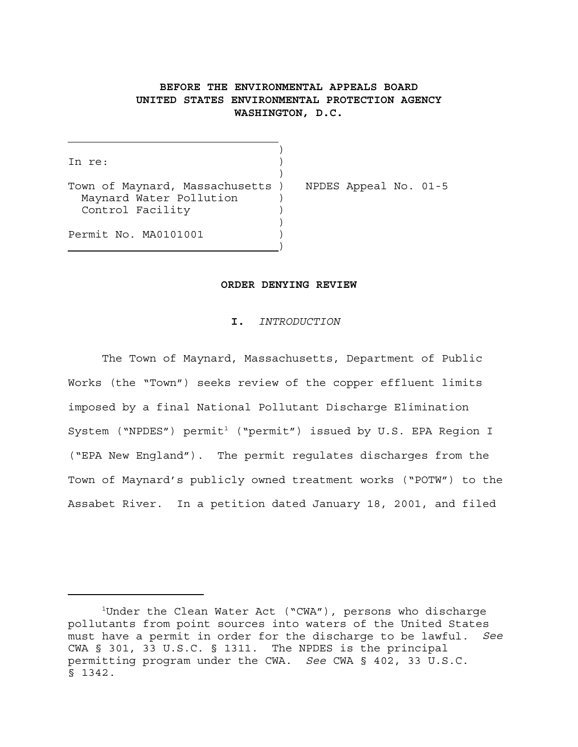# **BEFORE THE ENVIRONMENTAL APPEALS BOARD UNITED STATES ENVIRONMENTAL PROTECTION AGENCY WASHINGTON, D.C.**

)

)

)

In re:

Town of Maynard, Massachusetts ) NPDES Appeal No. 01-5 Maynard Water Pollution ) Control Facility )

 $\overline{\phantom{a}}$ 

Permit No. MA0101001 )

#### **ORDER DENYING REVIEW**

#### **I.** *INTRODUCTION*

The Town of Maynard, Massachusetts, Department of Public Works (the "Town") seeks review of the copper effluent limits imposed by a final National Pollutant Discharge Elimination System ("NPDES") permit<sup>1</sup> ("permit") issued by U.S. EPA Region I ("EPA New England"). The permit regulates discharges from the Town of Maynard's publicly owned treatment works ("POTW") to the Assabet River. In a petition dated January 18, 2001, and filed

<sup>&</sup>lt;sup>1</sup>Under the Clean Water Act ("CWA"), persons who discharge pollutants from point sources into waters of the United States must have a permit in order for the discharge to be lawful. *See* CWA § 301, 33 U.S.C. § 1311. The NPDES is the principal permitting program under the CWA. *See* CWA § 402, 33 U.S.C. § 1342.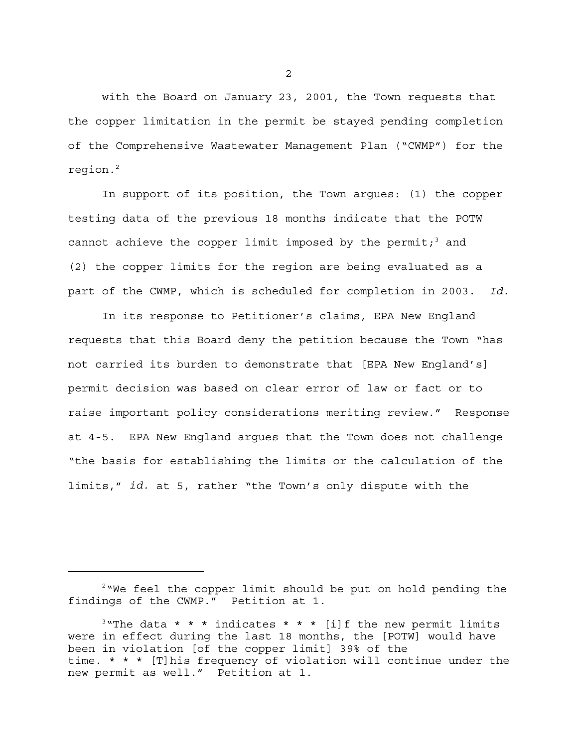with the Board on January 23, 2001, the Town requests that the copper limitation in the permit be stayed pending completion of the Comprehensive Wastewater Management Plan ("CWMP") for the region.<sup>2</sup>

In support of its position, the Town argues: (1) the copper testing data of the previous 18 months indicate that the POTW cannot achieve the copper limit imposed by the permit;<sup>3</sup> and (2) the copper limits for the region are being evaluated as a part of the CWMP, which is scheduled for completion in 2003. *Id.*

In its response to Petitioner's claims, EPA New England requests that this Board deny the petition because the Town "has not carried its burden to demonstrate that [EPA New England's] permit decision was based on clear error of law or fact or to raise important policy considerations meriting review." Response at 4-5. EPA New England argues that the Town does not challenge "the basis for establishing the limits or the calculation of the limits," *id.* at 5, rather "the Town's only dispute with the

<sup>&</sup>lt;sup>2</sup> We feel the copper limit should be put on hold pending the findings of the CWMP." Petition at 1.

<sup>&</sup>lt;sup>3</sup>"The data \* \* \* indicates \* \* \* [i]f the new permit limits were in effect during the last 18 months, the [POTW] would have been in violation [of the copper limit] 39% of the time. \* \* \* [T]his frequency of violation will continue under the new permit as well." Petition at 1.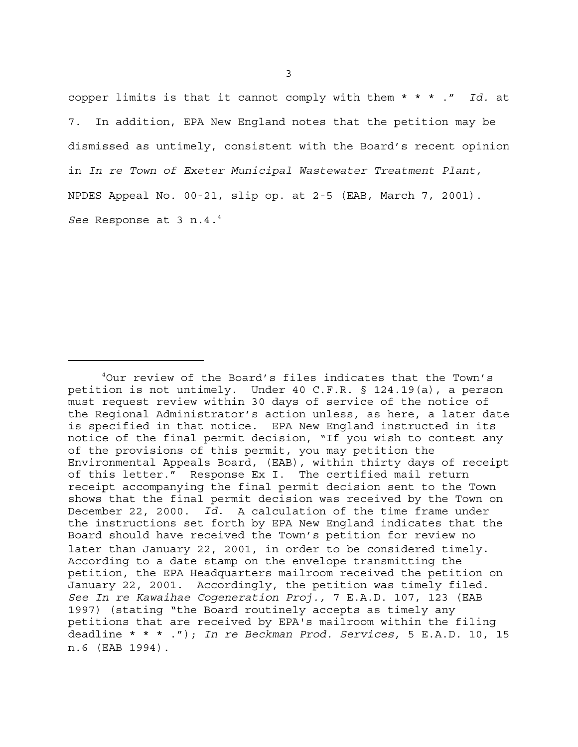copper limits is that it cannot comply with them \* \* \* ." *Id.* at 7. In addition, EPA New England notes that the petition may be dismissed as untimely, consistent with the Board's recent opinion in *In re Town of Exeter Municipal Wastewater Treatment Plant,* NPDES Appeal No. 00-21, slip op. at 2-5 (EAB, March 7, 2001). *See* Response at 3 n.4.4

<sup>4</sup> Our review of the Board's files indicates that the Town's petition is not untimely. Under 40 C.F.R. § 124.19(a), a person must request review within 30 days of service of the notice of the Regional Administrator's action unless, as here, a later date is specified in that notice. EPA New England instructed in its notice of the final permit decision, "If you wish to contest any of the provisions of this permit, you may petition the Environmental Appeals Board, (EAB), within thirty days of receipt of this letter." Response Ex I. The certified mail return receipt accompanying the final permit decision sent to the Town shows that the final permit decision was received by the Town on December 22, 2000. *Id.* A calculation of the time frame under the instructions set forth by EPA New England indicates that the Board should have received the Town's petition for review no later than January 22, 2001, in order to be considered timely. According to a date stamp on the envelope transmitting the petition, the EPA Headquarters mailroom received the petition on January 22, 2001. Accordingly, the petition was timely filed. *See In re Kawaihae Cogeneration Proj.,* 7 E.A.D. 107, 123 (EAB 1997) (stating "the Board routinely accepts as timely any petitions that are received by EPA's mailroom within the filing deadline \* \* \* ."); *In re Beckman Prod. Services,* 5 E.A.D. 10, 15 n.6 (EAB 1994).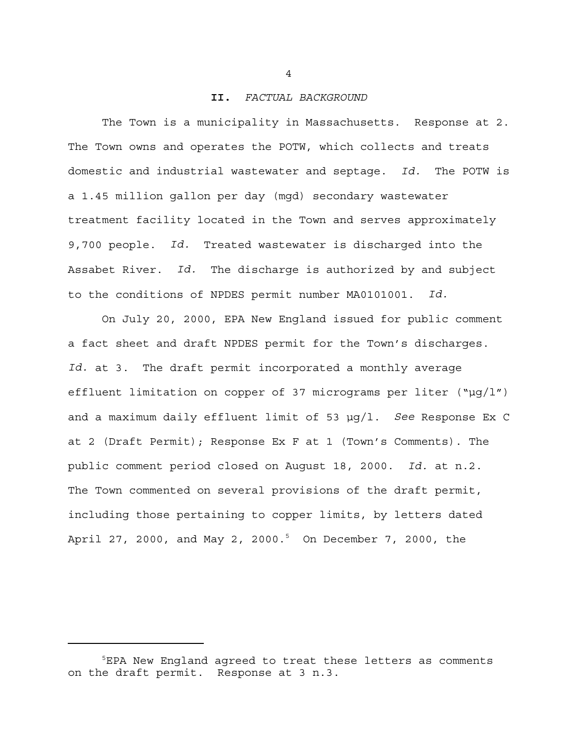#### **II.** *FACTUAL BACKGROUND*

The Town is a municipality in Massachusetts. Response at 2. The Town owns and operates the POTW, which collects and treats domestic and industrial wastewater and septage. *Id.* The POTW is a 1.45 million gallon per day (mgd) secondary wastewater treatment facility located in the Town and serves approximately 9,700 people. *Id.* Treated wastewater is discharged into the Assabet River. *Id.* The discharge is authorized by and subject to the conditions of NPDES permit number MA0101001. *Id.*

On July 20, 2000, EPA New England issued for public comment a fact sheet and draft NPDES permit for the Town's discharges. *Id.* at 3. The draft permit incorporated a monthly average effluent limitation on copper of 37 micrograms per liter  $(\mu q/l'')$ and a maximum daily effluent limit of 53 µg/l. *See* Response Ex C at 2 (Draft Permit); Response Ex F at 1 (Town's Comments). The public comment period closed on August 18, 2000. *Id.* at n.2. The Town commented on several provisions of the draft permit, including those pertaining to copper limits, by letters dated April 27, 2000, and May 2, 2000.<sup>5</sup> On December 7, 2000, the

<sup>5</sup> EPA New England agreed to treat these letters as comments on the draft permit. Response at 3 n.3.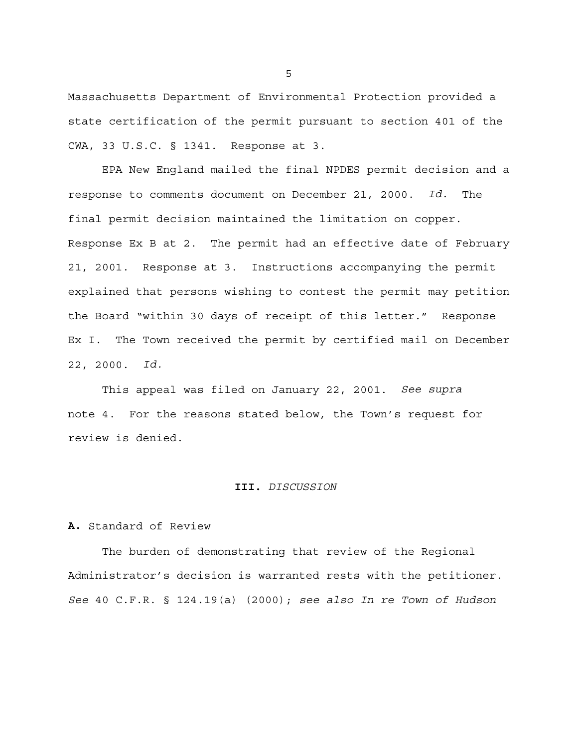Massachusetts Department of Environmental Protection provided a state certification of the permit pursuant to section 401 of the CWA, 33 U.S.C. § 1341. Response at 3.

EPA New England mailed the final NPDES permit decision and a response to comments document on December 21, 2000. *Id.* The final permit decision maintained the limitation on copper. Response Ex B at 2. The permit had an effective date of February 21, 2001. Response at 3. Instructions accompanying the permit explained that persons wishing to contest the permit may petition the Board "within 30 days of receipt of this letter." Response Ex I. The Town received the permit by certified mail on December 22, 2000. *Id.*

This appeal was filed on January 22, 2001. *See supra* note 4. For the reasons stated below, the Town's request for review is denied.

#### **III.** *DISCUSSION*

### **A.** Standard of Review

The burden of demonstrating that review of the Regional Administrator's decision is warranted rests with the petitioner. *See* 40 C.F.R. § 124.19(a) (2000); *see also In re Town of Hudson*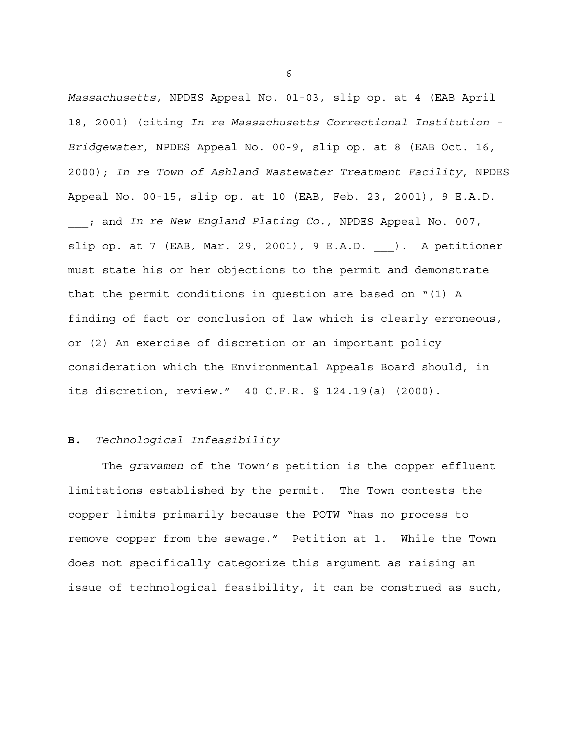*Massachusetts,* NPDES Appeal No. 01-03, slip op. at 4 (EAB April 18, 2001) (citing *In re Massachusetts Correctional Institution - Bridgewater*, NPDES Appeal No. 00-9, slip op. at 8 (EAB Oct. 16, 2000); *In re Town of Ashland Wastewater Treatment Facility*, NPDES Appeal No. 00-15, slip op. at 10 (EAB, Feb. 23, 2001), 9 E.A.D. \_\_\_; and *In re New England Plating Co.*, NPDES Appeal No. 007, slip op. at 7 (EAB, Mar. 29, 2001), 9 E.A.D. ). A petitioner must state his or her objections to the permit and demonstrate that the permit conditions in question are based on "(1) A finding of fact or conclusion of law which is clearly erroneous, or (2) An exercise of discretion or an important policy consideration which the Environmental Appeals Board should, in its discretion, review." 40 C.F.R. § 124.19(a) (2000).

## **B.** *Technological Infeasibility*

The *gravamen* of the Town's petition is the copper effluent limitations established by the permit. The Town contests the copper limits primarily because the POTW "has no process to remove copper from the sewage." Petition at 1. While the Town does not specifically categorize this argument as raising an issue of technological feasibility, it can be construed as such,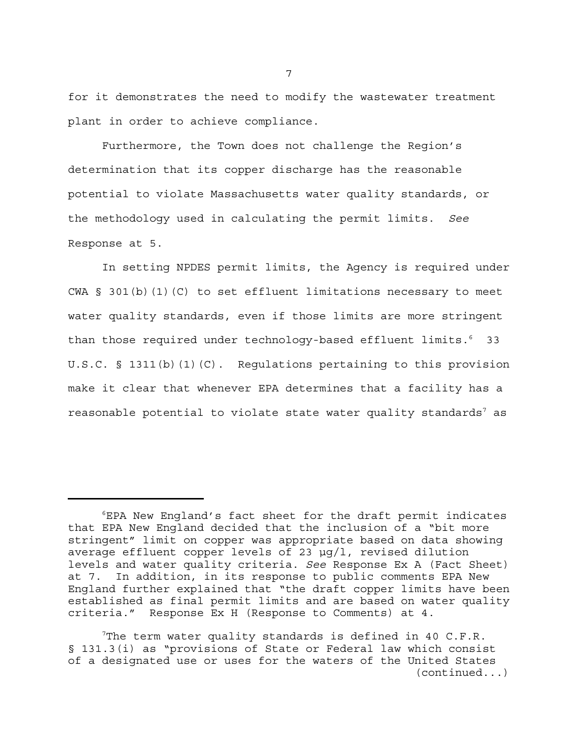for it demonstrates the need to modify the wastewater treatment plant in order to achieve compliance.

Furthermore, the Town does not challenge the Region's determination that its copper discharge has the reasonable potential to violate Massachusetts water quality standards, or the methodology used in calculating the permit limits. *See* Response at 5.

In setting NPDES permit limits, the Agency is required under CWA  $\S$  301(b)(1)(C) to set effluent limitations necessary to meet water quality standards, even if those limits are more stringent than those required under technology-based effluent limits.<sup>6</sup> 33 U.S.C.  $\S$  1311(b)(1)(C). Regulations pertaining to this provision make it clear that whenever EPA determines that a facility has a reasonable potential to violate state water quality standards $^7$  as

<sup>6</sup> EPA New England's fact sheet for the draft permit indicates that EPA New England decided that the inclusion of a "bit more stringent" limit on copper was appropriate based on data showing average effluent copper levels of 23 µg/l, revised dilution levels and water quality criteria. *See* Response Ex A (Fact Sheet) at 7. In addition, in its response to public comments EPA New England further explained that "the draft copper limits have been established as final permit limits and are based on water quality criteria." Response Ex H (Response to Comments) at 4.

The term water quality standards is defined in 40 C.F.R. § 131.3(i) as "provisions of State or Federal law which consist of a designated use or uses for the waters of the United States (continued...)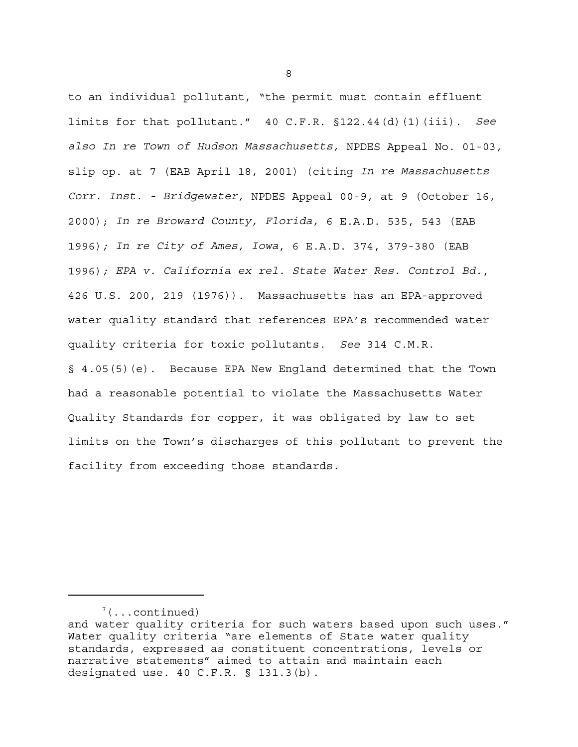to an individual pollutant, "the permit must contain effluent limits for that pollutant." 40 C.F.R. §122.44(d)(1)(iii). *See also In re Town of Hudson Massachusetts,* NPDES Appeal No. 01-03, slip op. at 7 (EAB April 18, 2001) (citing *In re Massachusetts Corr. Inst. - Bridgewater,* NPDES Appeal 00-9, at 9 (October 16, 2000); *In re Broward County, Florida,* 6 E.A.D. 535, 543 (EAB 1996)*; In re City of Ames, Iowa*, 6 E.A.D. 374, 379-380 (EAB 1996)*; EPA v. California ex rel. State Water Res. Control Bd.*, 426 U.S. 200, 219 (1976)). Massachusetts has an EPA-approved water quality standard that references EPA's recommended water quality criteria for toxic pollutants. *See* 314 C.M.R. § 4.05(5)(e). Because EPA New England determined that the Town had a reasonable potential to violate the Massachusetts Water Quality Standards for copper, it was obligated by law to set limits on the Town's discharges of this pollutant to prevent the facility from exceeding those standards.

 $7(\ldots$  continued)

and water quality criteria for such waters based upon such uses." Water quality criteria "are elements of State water quality standards, expressed as constituent concentrations, levels or narrative statements" aimed to attain and maintain each designated use. 40 C.F.R. § 131.3(b).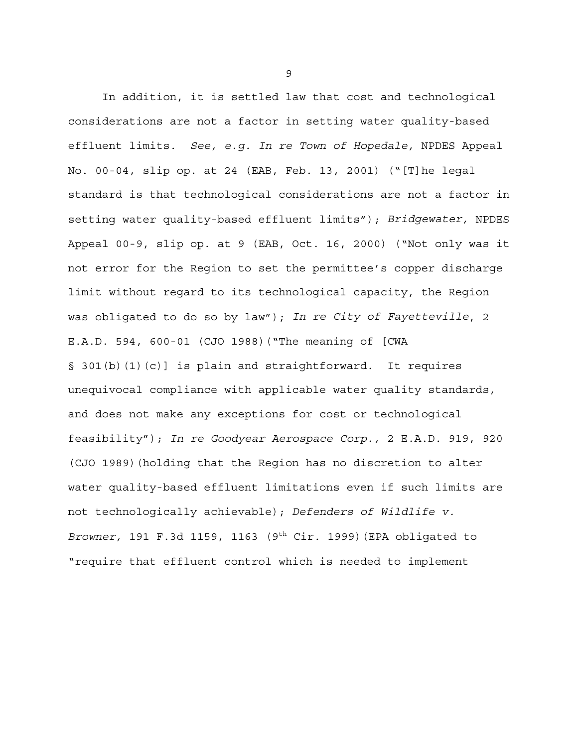In addition, it is settled law that cost and technological considerations are not a factor in setting water quality-based effluent limits. *See, e.g. In re Town of Hopedale,* NPDES Appeal No. 00-04, slip op. at 24 (EAB, Feb. 13, 2001) ("[T]he legal standard is that technological considerations are not a factor in setting water quality-based effluent limits"); *Bridgewater,* NPDES Appeal 00-9, slip op. at 9 (EAB, Oct. 16, 2000) ("Not only was it not error for the Region to set the permittee's copper discharge limit without regard to its technological capacity, the Region was obligated to do so by law"); *In re City of Fayetteville*, 2 E.A.D. 594, 600-01 (CJO 1988)("The meaning of [CWA § 301(b)(1)(c)] is plain and straightforward. It requires unequivocal compliance with applicable water quality standards, and does not make any exceptions for cost or technological feasibility"); *In re Goodyear Aerospace Corp.,* 2 E.A.D. 919, 920 (CJO 1989)(holding that the Region has no discretion to alter water quality-based effluent limitations even if such limits are not technologically achievable); *Defenders of Wildlife v. Browner,* 191 F.3d 1159, 1163 (9th Cir. 1999)(EPA obligated to "require that effluent control which is needed to implement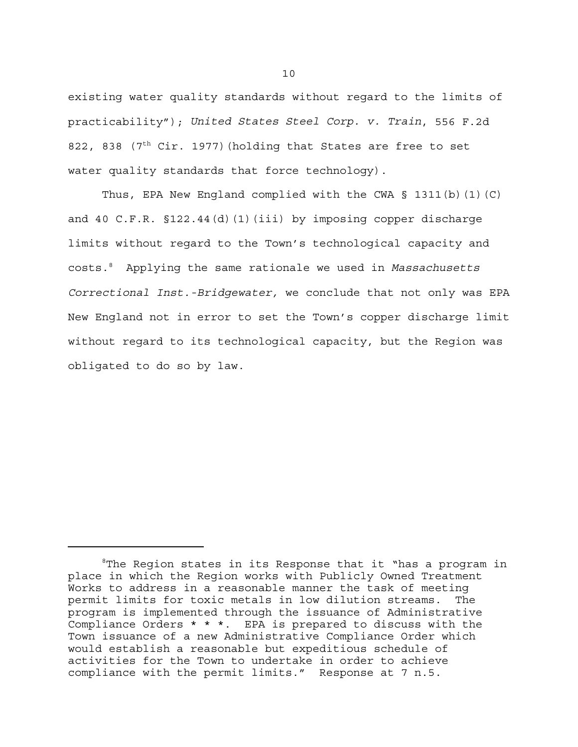existing water quality standards without regard to the limits of practicability"); *United States Steel Corp. v. Train*, 556 F.2d 822, 838 ( $7<sup>th</sup>$  Cir. 1977) (holding that States are free to set water quality standards that force technology).

Thus, EPA New England complied with the CWA  $\S$  1311(b)(1)(C) and 40 C.F.R. §122.44(d)(1)(iii) by imposing copper discharge limits without regard to the Town's technological capacity and costs.8 Applying the same rationale we used in *Massachusetts Correctional Inst.-Bridgewater,* we conclude that not only was EPA New England not in error to set the Town's copper discharge limit without regard to its technological capacity, but the Region was obligated to do so by law.

<sup>&</sup>lt;sup>8</sup>The Region states in its Response that it "has a program in place in which the Region works with Publicly Owned Treatment Works to address in a reasonable manner the task of meeting permit limits for toxic metals in low dilution streams. The program is implemented through the issuance of Administrative Compliance Orders \* \* \*. EPA is prepared to discuss with the Town issuance of a new Administrative Compliance Order which would establish a reasonable but expeditious schedule of activities for the Town to undertake in order to achieve compliance with the permit limits." Response at 7 n.5.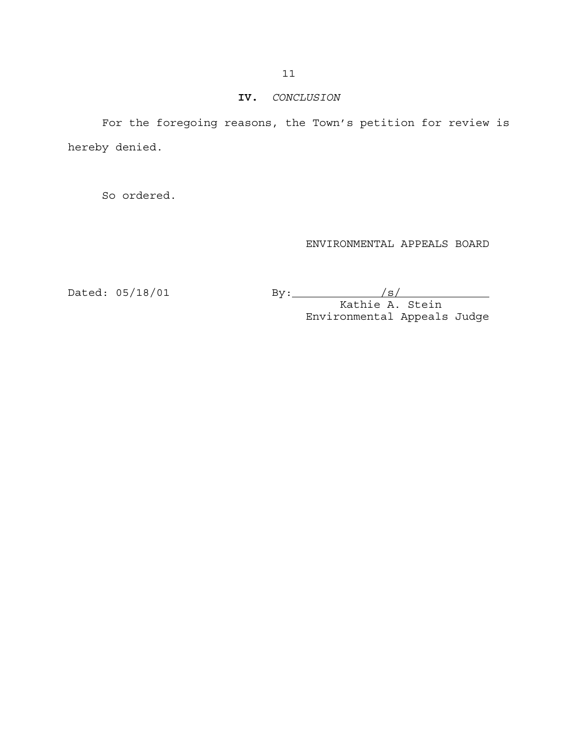#### **IV.** *CONCLUSION*

For the foregoing reasons, the Town's petition for review is hereby denied.

So ordered.

# ENVIRONMENTAL APPEALS BOARD

Dated: 05/18/01 By: /s/

Kathie A. Stein Environmental Appeals Judge